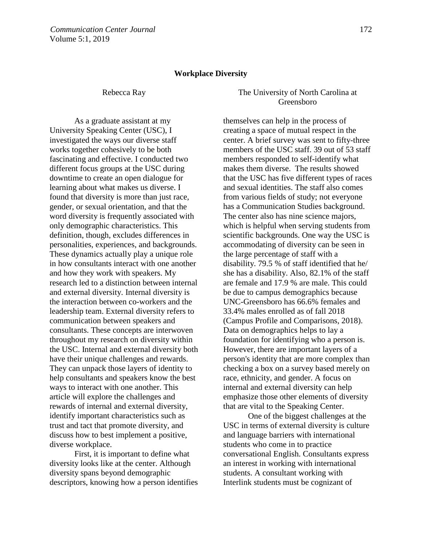## **Workplace Diversity**

As a graduate assistant at my University Speaking Center (USC), I investigated the ways our diverse staff works together cohesively to be both fascinating and effective. I conducted two different focus groups at the USC during downtime to create an open dialogue for learning about what makes us diverse. I found that diversity is more than just race, gender, or sexual orientation, and that the word diversity is frequently associated with only demographic characteristics. This definition, though, excludes differences in personalities, experiences, and backgrounds. These dynamics actually play a unique role in how consultants interact with one another and how they work with speakers. My research led to a distinction between internal and external diversity. Internal diversity is the interaction between co-workers and the leadership team. External diversity refers to communication between speakers and consultants. These concepts are interwoven throughout my research on diversity within the USC. Internal and external diversity both have their unique challenges and rewards. They can unpack those layers of identity to help consultants and speakers know the best ways to interact with one another. This article will explore the challenges and rewards of internal and external diversity, identify important characteristics such as trust and tact that promote diversity, and discuss how to best implement a positive, diverse workplace.

First, it is important to define what diversity looks like at the center. Although diversity spans beyond demographic descriptors, knowing how a person identifies

Rebecca Ray The University of North Carolina at Greensboro

> themselves can help in the process of creating a space of mutual respect in the center. A brief survey was sent to fifty-three members of the USC staff. 39 out of 53 staff members responded to self-identify what makes them diverse. The results showed that the USC has five different types of races and sexual identities. The staff also comes from various fields of study; not everyone has a Communication Studies background. The center also has nine science majors, which is helpful when serving students from scientific backgrounds. One way the USC is accommodating of diversity can be seen in the large percentage of staff with a disability. 79.5 % of staff identified that he/ she has a disability. Also, 82.1% of the staff are female and 17.9 % are male. This could be due to campus demographics because UNC-Greensboro has 66.6% females and 33.4% males enrolled as of fall 2018 (Campus Profile and Comparisons, 2018). Data on demographics helps to lay a foundation for identifying who a person is. However, there are important layers of a person's identity that are more complex than checking a box on a survey based merely on race, ethnicity, and gender. A focus on internal and external diversity can help emphasize those other elements of diversity that are vital to the Speaking Center.

One of the biggest challenges at the USC in terms of external diversity is culture and language barriers with international students who come in to practice conversational English. Consultants express an interest in working with international students. A consultant working with Interlink students must be cognizant of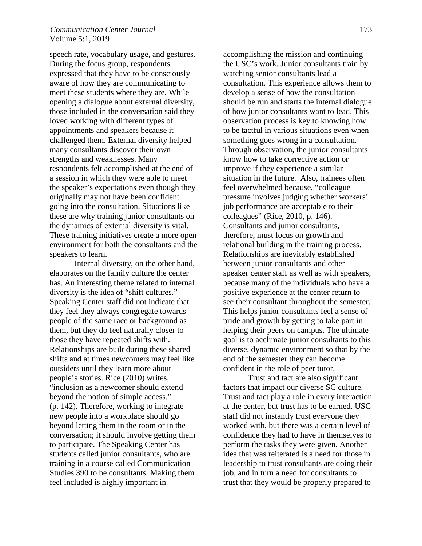## *Communication Center Journal* 173 Volume 5:1, 2019

speech rate, vocabulary usage, and gestures. During the focus group, respondents expressed that they have to be consciously aware of how they are communicating to meet these students where they are. While opening a dialogue about external diversity, those included in the conversation said they loved working with different types of appointments and speakers because it challenged them. External diversity helped many consultants discover their own strengths and weaknesses. Many respondents felt accomplished at the end of a session in which they were able to meet the speaker's expectations even though they originally may not have been confident going into the consultation. Situations like these are why training junior consultants on the dynamics of external diversity is vital. These training initiatives create a more open environment for both the consultants and the speakers to learn.

 Internal diversity, on the other hand, elaborates on the family culture the center has. An interesting theme related to internal diversity is the idea of "shift cultures." Speaking Center staff did not indicate that they feel they always congregate towards people of the same race or background as them, but they do feel naturally closer to those they have repeated shifts with. Relationships are built during these shared shifts and at times newcomers may feel like outsiders until they learn more about people's stories. Rice (2010) writes, "inclusion as a newcomer should extend beyond the notion of simple access." (p. 142). Therefore, working to integrate new people into a workplace should go beyond letting them in the room or in the conversation; it should involve getting them to participate. The Speaking Center has students called junior consultants, who are training in a course called Communication Studies 390 to be consultants. Making them feel included is highly important in

accomplishing the mission and continuing the USC's work. Junior consultants train by watching senior consultants lead a consultation. This experience allows them to develop a sense of how the consultation should be run and starts the internal dialogue of how junior consultants want to lead. This observation process is key to knowing how to be tactful in various situations even when something goes wrong in a consultation. Through observation, the junior consultants know how to take corrective action or improve if they experience a similar situation in the future. Also, trainees often feel overwhelmed because, "colleague pressure involves judging whether workers' job performance are acceptable to their colleagues" (Rice, 2010, p. 146). Consultants and junior consultants, therefore, must focus on growth and relational building in the training process. Relationships are inevitably established between junior consultants and other speaker center staff as well as with speakers, because many of the individuals who have a positive experience at the center return to see their consultant throughout the semester. This helps junior consultants feel a sense of pride and growth by getting to take part in helping their peers on campus. The ultimate goal is to acclimate junior consultants to this diverse, dynamic environment so that by the end of the semester they can become confident in the role of peer tutor.

Trust and tact are also significant factors that impact our diverse SC culture. Trust and tact play a role in every interaction at the center, but trust has to be earned. USC staff did not instantly trust everyone they worked with, but there was a certain level of confidence they had to have in themselves to perform the tasks they were given. Another idea that was reiterated is a need for those in leadership to trust consultants are doing their job, and in turn a need for consultants to trust that they would be properly prepared to